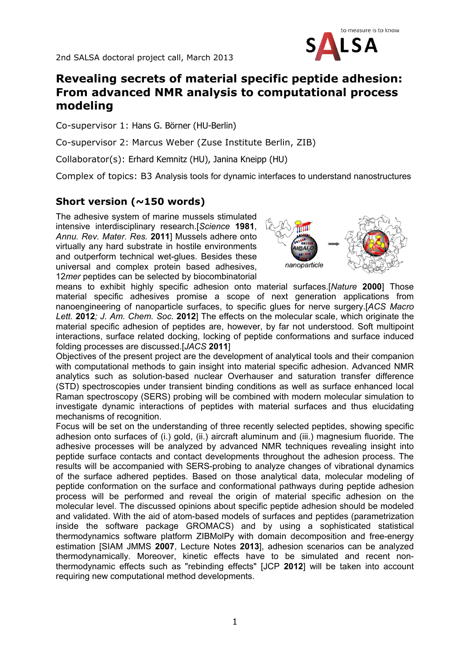

## **Revealing secrets of material specific peptide adhesion: From advanced NMR analysis to computational process modeling**

Co-supervisor 1: Hans G. Börner (HU-Berlin)

Co-supervisor 2: Marcus Weber (Zuse Institute Berlin, ZIB)

Collaborator(s): Erhard Kemnitz (HU), Janina Kneipp (HU)

Complex of topics: B3 Analysis tools for dynamic interfaces to understand nanostructures

## **Short version (~150 words)**

The adhesive system of marine mussels stimulated intensive interdisciplinary research.[*Science* **1981**, *Annu. Rev. Mater. Res.* **2011**] Mussels adhere onto virtually any hard substrate in hostile environments and outperform technical wet-glues. Besides these universal and complex protein based adhesives, 12*mer* peptides can be selected by biocombinatorial



means to exhibit highly specific adhesion onto material surfaces.[*Nature* **2000**] Those material specific adhesives promise a scope of next generation applications from nanoengineering of nanoparticle surfaces, to specific glues for nerve surgery.[*ACS Macro Lett.* **2012***; J. Am. Chem. Soc.* **2012**] The effects on the molecular scale, which originate the material specific adhesion of peptides are, however, by far not understood. Soft multipoint interactions, surface related docking, locking of peptide conformations and surface induced folding processes are discussed.[*JACS* **2011**]

Objectives of the present project are the development of analytical tools and their companion with computational methods to gain insight into material specific adhesion. Advanced NMR analytics such as solution-based nuclear Overhauser and saturation transfer difference (STD) spectroscopies under transient binding conditions as well as surface enhanced local Raman spectroscopy (SERS) probing will be combined with modern molecular simulation to investigate dynamic interactions of peptides with material surfaces and thus elucidating mechanisms of recognition.

Focus will be set on the understanding of three recently selected peptides, showing specific adhesion onto surfaces of (i.) gold, (ii.) aircraft aluminum and (iii.) magnesium fluoride. The adhesive processes will be analyzed by advanced NMR techniques revealing insight into peptide surface contacts and contact developments throughout the adhesion process. The results will be accompanied with SERS-probing to analyze changes of vibrational dynamics of the surface adhered peptides. Based on those analytical data, molecular modeling of peptide conformation on the surface and conformational pathways during peptide adhesion process will be performed and reveal the origin of material specific adhesion on the molecular level. The discussed opinions about specific peptide adhesion should be modeled and validated. With the aid of atom-based models of surfaces and peptides (parametrization inside the software package GROMACS) and by using a sophisticated statistical thermodynamics software platform ZIBMolPy with domain decomposition and free-energy estimation [SIAM JMMS **2007**, Lecture Notes **2013**], adhesion scenarios can be analyzed thermodynamically. Moreover, kinetic effects have to be simulated and recent nonthermodynamic effects such as "rebinding effects" [JCP **2012**] will be taken into account requiring new computational method developments.